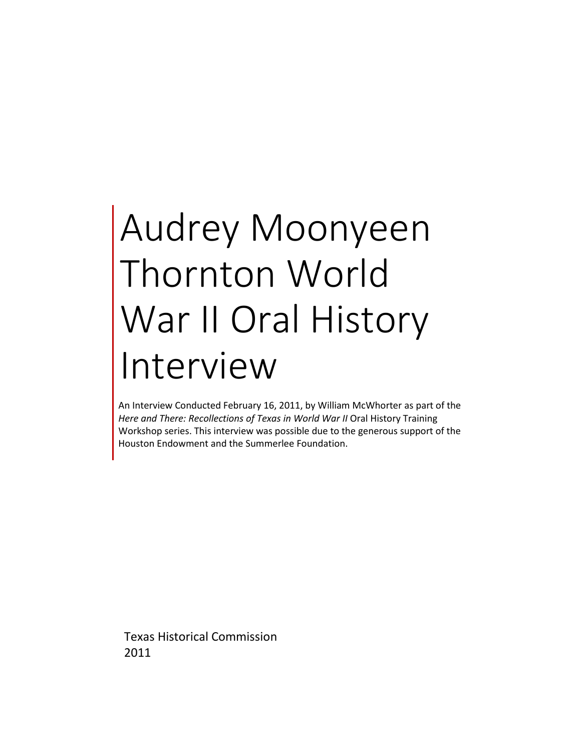## Audrey Moonyeen Thornton World War II Oral History Interview

An Interview Conducted February 16, 2011, by William McWhorter as part of the Here and There: Recollections of Texas in World War II Oral History Training Workshop series. This interview was possible due to the generous support of the Houston Endowment and the Summerlee Foundation.

Texas Historical Commission 2011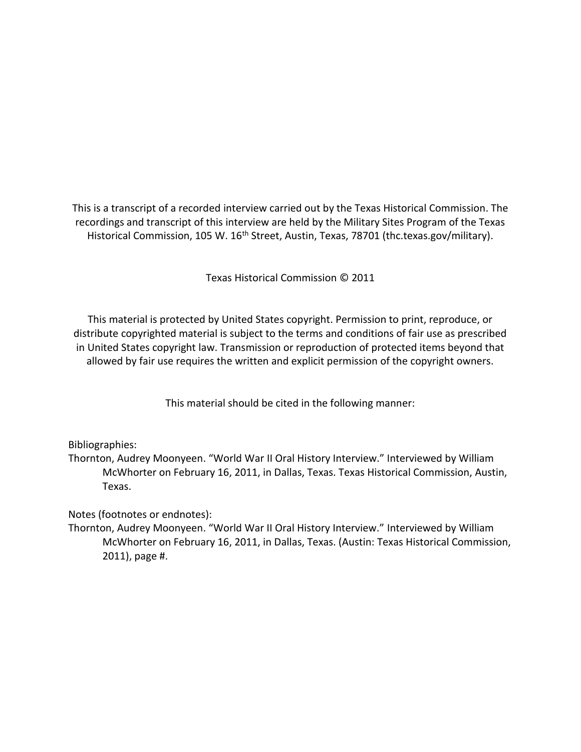This is a transcript of a recorded interview carried out by the Texas Historical Commission. The recordings and transcript of this interview are held by the Military Sites Program of the Texas Historical Commission, 105 W. 16<sup>th</sup> Street, Austin, Texas, 78701 (thc.texas.gov/military).

Texas Historical Commission © 2011

This material is protected by United States copyright. Permission to print, reproduce, or distribute copyrighted material is subject to the terms and conditions of fair use as prescribed in United States copyright law. Transmission or reproduction of protected items beyond that allowed by fair use requires the written and explicit permission of the copyright owners.

This material should be cited in the following manner:

Bibliographies:

Thornton, Audrey Moonyeen. "World War II Oral History Interview." Interviewed by William McWhorter on February 16, 2011, in Dallas, Texas. Texas Historical Commission, Austin, Texas.

Notes (footnotes or endnotes):

Thornton, Audrey Moonyeen. "World War II Oral History Interview." Interviewed by William McWhorter on February 16, 2011, in Dallas, Texas. (Austin: Texas Historical Commission, 2011), page #.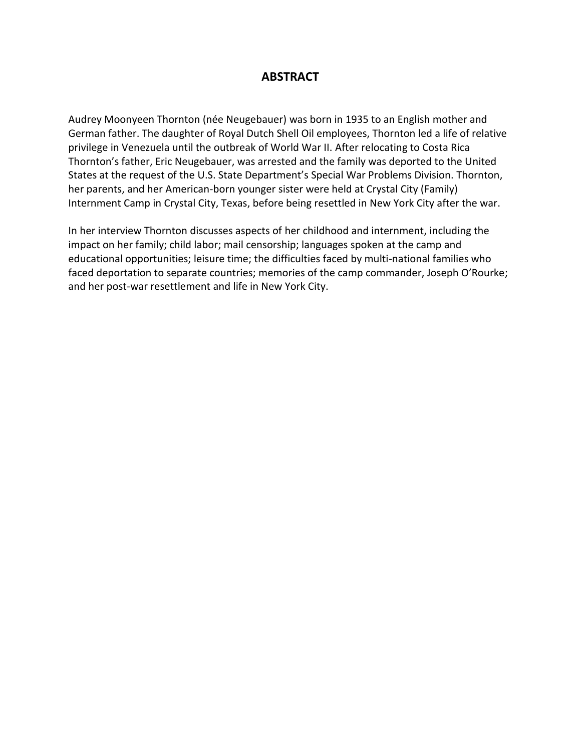## **ABSTRACT**

Audrey Moonyeen Thornton (née Neugebauer) was born in 1935 to an English mother and German father. The daughter of Royal Dutch Shell Oil employees, Thornton led a life of relative privilege in Venezuela until the outbreak of World War II. After relocating to Costa Rica Thornton's father, Eric Neugebauer, was arrested and the family was deported to the United States at the request of the U.S. State Department's Special War Problems Division. Thornton, her parents, and her American-born younger sister were held at Crystal City (Family) Internment Camp in Crystal City, Texas, before being resettled in New York City after the war.

In her interview Thornton discusses aspects of her childhood and internment, including the impact on her family; child labor; mail censorship; languages spoken at the camp and educational opportunities; leisure time; the difficulties faced by multi-national families who faced deportation to separate countries; memories of the camp commander, Joseph O'Rourke; and her post-war resettlement and life in New York City.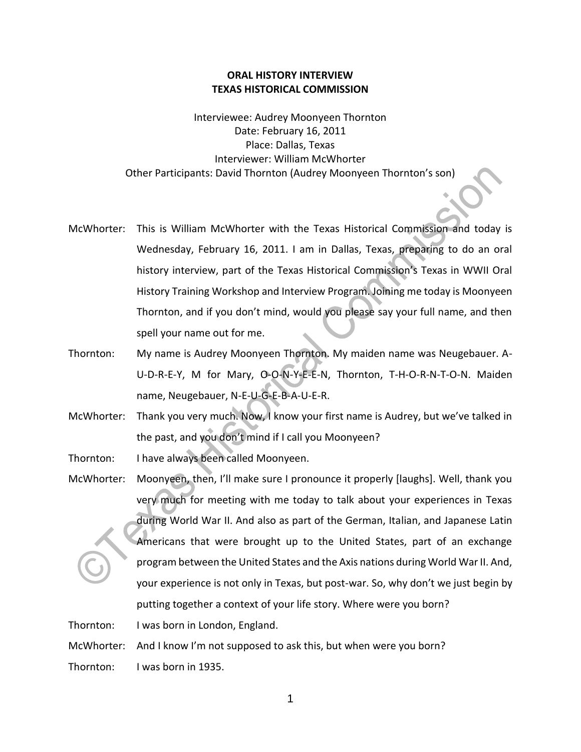## **ORAL HISTORY INTERVIEW TEXAS HISTORICAL COMMISSION**

Interviewee: Audrey Moonyeen Thornton Date: February 16, 2011 Place: Dallas, Texas Interviewer: William McWhorter Other Participants: David Thornton (Audrey Moonyeen Thornton's son)

- McWhorter: This is William McWhorter with the Texas Historical Commission and today is Wednesday, February 16, 2011. I am in Dallas, Texas, preparing to do an oral history interview, part of the Texas Historical Commission's Texas in WWII Oral History Training Workshop and Interview Program. Joining me today is Moonyeen Thornton, and if you don't mind, would you please say your full name, and then spell your name out for me.
- Thornton: My name is Audrey Moonyeen Thornton. My maiden name was Neugebauer. A-U-D-R-E-Y, M for Mary, O-O-N-Y-E-E-N, Thornton, T-H-O-R-N-T-O-N. Maiden name, Neugebauer, N-E-U-G-E-B-A-U-E-R.
- McWhorter: Thank you very much. Now, I know your first name is Audrey, but we've talked in the past, and you don't mind if I call you Moonyeen?

Thornton: I have always been called Moonyeen.

McWhorter: Moonyeen, then, I'll make sure I pronounce it properly [laughs]. Well, thank you very much for meeting with me today to talk about your experiences in Texas during World War II. And also as part of the German, Italian, and Japanese Latin Americans that were brought up to the United States, part of an exchange program between the United States and the Axis nations during World War II. And, your experience is not only in Texas, but post-war. So, why don't we just begin by putting together a context of your life story. Where were you born?

Thornton: I was born in London, England.

McWhorter: And I know I'm not supposed to ask this, but when were you born?

Thornton: I was born in 1935.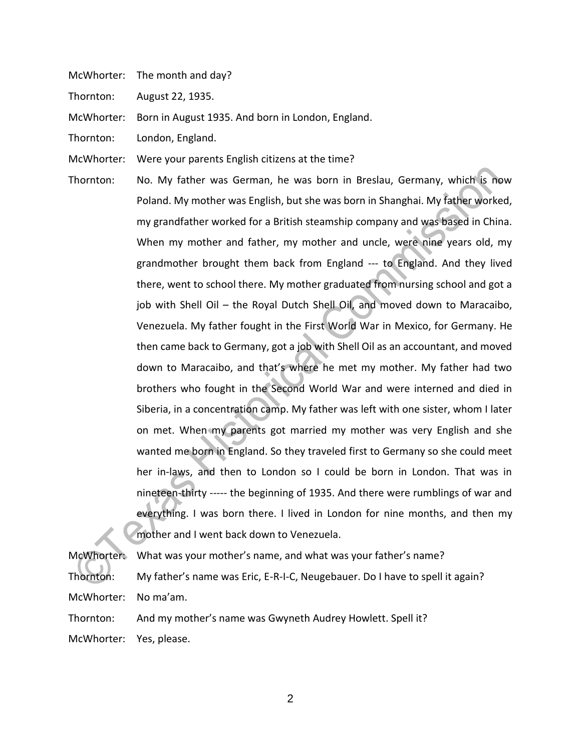McWhorter: The month and day?

Thornton: August 22, 1935.

McWhorter: Born in August 1935. And born in London, England.

Thornton: London, England.

McWhorter: Were your parents English citizens at the time?

Thornton: No. My father was German, he was born in Breslau, Germany, which is now Poland. My mother was English, but she was born in Shanghai. My father worked, my grandfather worked for a British steamship company and was based in China. When my mother and father, my mother and uncle, were nine years old, my grandmother brought them back from England --- to England. And they lived there, went to school there. My mother graduated from nursing school and got a job with Shell Oil – the Royal Dutch Shell Oil, and moved down to Maracaibo, Venezuela. My father fought in the First World War in Mexico, for Germany. He then came back to Germany, got a job with Shell Oil as an accountant, and moved down to Maracaibo, and that's where he met my mother. My father had two brothers who fought in the Second World War and were interned and died in Siberia, in a concentration camp. My father was left with one sister, whom I later on met. When my parents got married my mother was very English and she wanted me born in England. So they traveled first to Germany so she could meet her in-laws, and then to London so I could be born in London. That was in nineteen-thirty ----- the beginning of 1935. And there were rumblings of war and everything. I was born there. I lived in London for nine months, and then my mother and I went back down to Venezuela.

McWhorter: What was your mother's name, and what was your father's name? Thornton: My father's name was Eric, E-R-I-C, Neugebauer. Do I have to spell it again? McWhorter: No ma'am.

Thornton: And my mother's name was Gwyneth Audrey Howlett. Spell it?

McWhorter: Yes, please.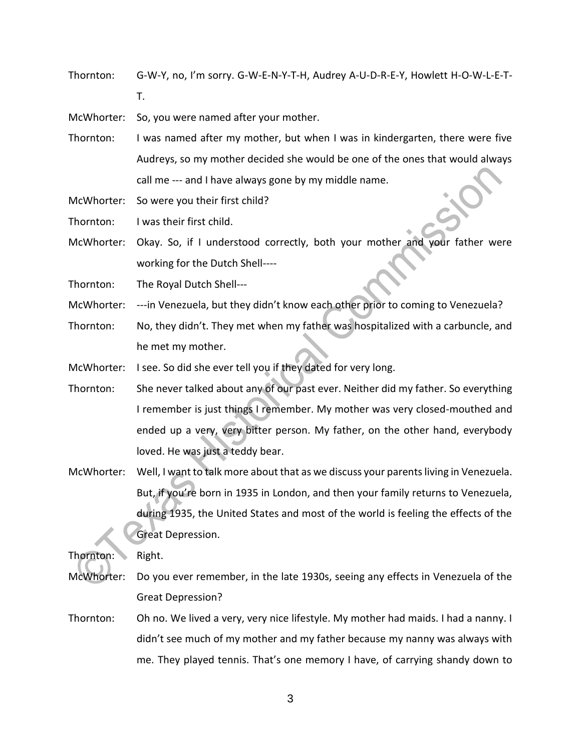Thornton: G-W-Y, no, I'm sorry. G-W-E-N-Y-T-H, Audrey A-U-D-R-E-Y, Howlett H-O-W-L-E-T-

T.

McWhorter: So, you were named after your mother.

Thornton: I was named after my mother, but when I was in kindergarten, there were five Audreys, so my mother decided she would be one of the ones that would always call me --- and I have always gone by my middle name.

McWhorter: So were you their first child?

Thornton: I was their first child.

McWhorter: Okay. So, if I understood correctly, both your mother and your father were working for the Dutch Shell----

Thornton: The Royal Dutch Shell---

McWhorter: ---in Venezuela, but they didn't know each other prior to coming to Venezuela?

Thornton: No, they didn't. They met when my father was hospitalized with a carbuncle, and he met my mother.

McWhorter: I see. So did she ever tell you if they dated for very long.

Thornton: She never talked about any of our past ever. Neither did my father. So everything I remember is just things I remember. My mother was very closed-mouthed and ended up a very, very bitter person. My father, on the other hand, everybody loved. He was just a teddy bear.

McWhorter: Well, I want to talk more about that as we discuss your parents living in Venezuela. But, if you're born in 1935 in London, and then your family returns to Venezuela, during 1935, the United States and most of the world is feeling the effects of the Great Depression.

Thornton: Right.

- McWhorter: Do you ever remember, in the late 1930s, seeing any effects in Venezuela of the Great Depression?
- Thornton: Oh no. We lived a very, very nice lifestyle. My mother had maids. I had a nanny. I didn't see much of my mother and my father because my nanny was always with me. They played tennis. That's one memory I have, of carrying shandy down to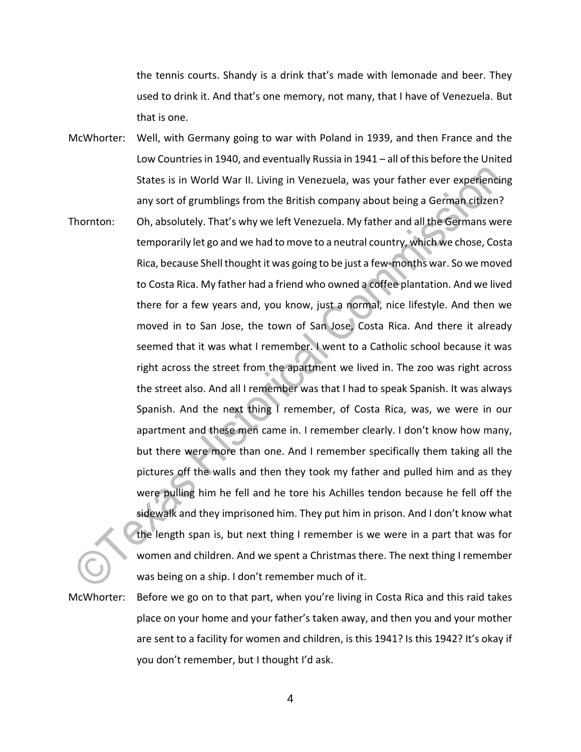the tennis courts. Shandy is a drink that's made with lemonade and beer. They used to drink it. And that's one memory, not many, that I have of Venezuela. But that is one.

- McWhorter: Well, with Germany going to war with Poland in 1939, and then France and the Low Countries in 1940, and eventually Russia in 1941 – all of this before the United States is in World War II. Living in Venezuela, was your father ever experiencing any sort of grumblings from the British company about being a German citizen?
- Thornton: Oh, absolutely. That's why we left Venezuela. My father and all the Germans were temporarily let go and we had to move to a neutral country, which we chose, Costa Rica, because Shell thought it was going to be just a few-months war. So we moved to Costa Rica. My father had a friend who owned a coffee plantation. And we lived there for a few years and, you know, just a normal, nice lifestyle. And then we moved in to San Jose, the town of San Jose, Costa Rica. And there it already seemed that it was what I remember. I went to a Catholic school because it was right across the street from the apartment we lived in. The zoo was right across the street also. And all I remember was that I had to speak Spanish. It was always Spanish. And the next thing I remember, of Costa Rica, was, we were in our apartment and these men came in. I remember clearly. I don't know how many, but there were more than one. And I remember specifically them taking all the pictures off the walls and then they took my father and pulled him and as they were pulling him he fell and he tore his Achilles tendon because he fell off the sidewalk and they imprisoned him. They put him in prison. And I don't know what the length span is, but next thing I remember is we were in a part that was for women and children. And we spent a Christmas there. The next thing I remember was being on a ship. I don't remember much of it.

McWhorter: Before we go on to that part, when you're living in Costa Rica and this raid takes place on your home and your father's taken away, and then you and your mother are sent to a facility for women and children, is this 1941? Is this 1942? It's okay if you don't remember, but I thought I'd ask.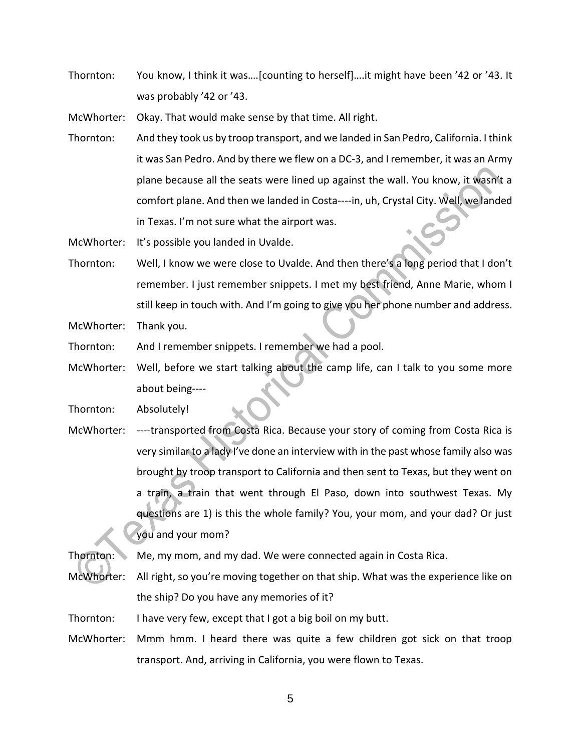Thornton: You know, I think it was….[counting to herself]….it might have been '42 or '43. It was probably '42 or '43.

McWhorter: Okay. That would make sense by that time. All right.

Thornton: And they took us by troop transport, and we landed in San Pedro, California. I think it was San Pedro. And by there we flew on a DC-3, and I remember, it was an Army plane because all the seats were lined up against the wall. You know, it wasn't a comfort plane. And then we landed in Costa----in, uh, Crystal City. Well, we landed in Texas. I'm not sure what the airport was.

McWhorter: It's possible you landed in Uvalde.

Thornton: Well, I know we were close to Uvalde. And then there's a long period that I don't remember. I just remember snippets. I met my best friend, Anne Marie, whom I still keep in touch with. And I'm going to give you her phone number and address.

McWhorter: Thank you.

- Thornton: And I remember snippets. I remember we had a pool.
- McWhorter: Well, before we start talking about the camp life, can I talk to you some more about being----

Thornton: Absolutely!

McWhorter: ----transported from Costa Rica. Because your story of coming from Costa Rica is very similar to a lady I've done an interview with in the past whose family also was brought by troop transport to California and then sent to Texas, but they went on a train, a train that went through El Paso, down into southwest Texas. My questions are 1) is this the whole family? You, your mom, and your dad? Or just you and your mom?

Thornton: Me, my mom, and my dad. We were connected again in Costa Rica.

- McWhorter: All right, so you're moving together on that ship. What was the experience like on the ship? Do you have any memories of it?
- Thornton: I have very few, except that I got a big boil on my butt.
- McWhorter: Mmm hmm. I heard there was quite a few children got sick on that troop transport. And, arriving in California, you were flown to Texas.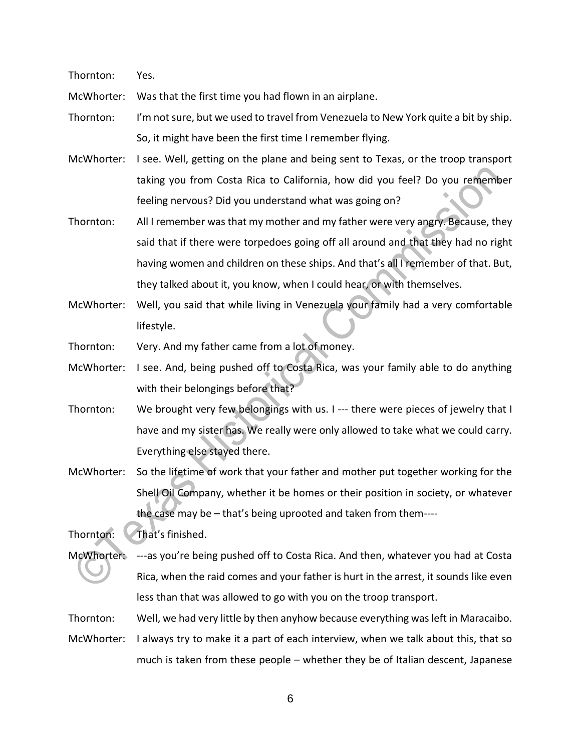Thornton: Yes.

McWhorter: Was that the first time you had flown in an airplane.

Thornton: I'm not sure, but we used to travel from Venezuela to New York quite a bit by ship. So, it might have been the first time I remember flying.

- McWhorter: I see. Well, getting on the plane and being sent to Texas, or the troop transport taking you from Costa Rica to California, how did you feel? Do you remember feeling nervous? Did you understand what was going on?
- Thornton: All I remember was that my mother and my father were very angry. Because, they said that if there were torpedoes going off all around and that they had no right having women and children on these ships. And that's all I remember of that. But, they talked about it, you know, when I could hear, or with themselves.
- McWhorter: Well, you said that while living in Venezuela your family had a very comfortable lifestyle.

Thornton: Very. And my father came from a lot of money.

McWhorter: I see. And, being pushed off to Costa Rica, was your family able to do anything with their belongings before that?

- Thornton: We brought very few belongings with us. I --- there were pieces of jewelry that I have and my sister has. We really were only allowed to take what we could carry. Everything else stayed there.
- McWhorter: So the lifetime of work that your father and mother put together working for the Shell Oil Company, whether it be homes or their position in society, or whatever the case may be – that's being uprooted and taken from them----

Thornton: That's finished.

McWhorter: ---as you're being pushed off to Costa Rica. And then, whatever you had at Costa Rica, when the raid comes and your father is hurt in the arrest, it sounds like even less than that was allowed to go with you on the troop transport.

Thornton: Well, we had very little by then anyhow because everything was left in Maracaibo.

McWhorter: I always try to make it a part of each interview, when we talk about this, that so much is taken from these people – whether they be of Italian descent, Japanese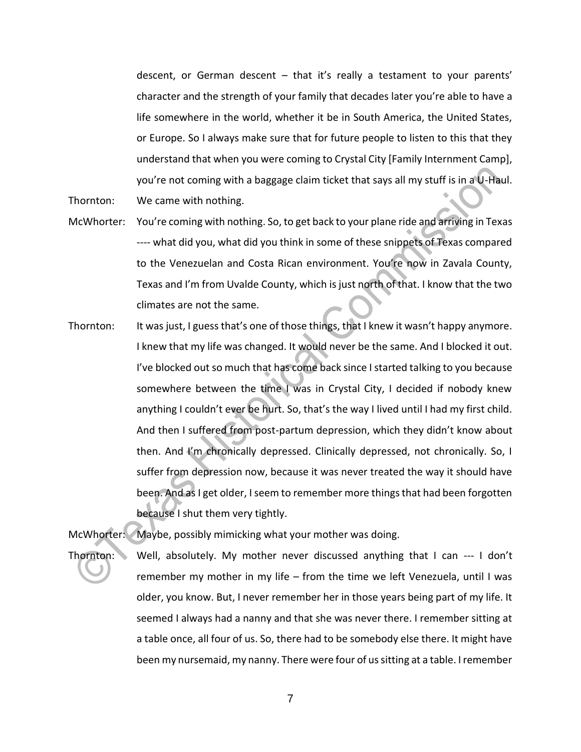descent, or German descent – that it's really a testament to your parents' character and the strength of your family that decades later you're able to have a life somewhere in the world, whether it be in South America, the United States, or Europe. So I always make sure that for future people to listen to this that they understand that when you were coming to Crystal City [Family Internment Camp], you're not coming with a baggage claim ticket that says all my stuff is in a U-Haul. Thornton: We came with nothing.

- McWhorter: You're coming with nothing. So, to get back to your plane ride and arriving in Texas ---- what did you, what did you think in some of these snippets of Texas compared to the Venezuelan and Costa Rican environment. You're now in Zavala County, Texas and I'm from Uvalde County, which is just north of that. I know that the two climates are not the same.
- Thornton: It was just, I guess that's one of those things, that I knew it wasn't happy anymore. I knew that my life was changed. It would never be the same. And I blocked it out. I've blocked out so much that has come back since I started talking to you because somewhere between the time I was in Crystal City, I decided if nobody knew anything I couldn't ever be hurt. So, that's the way I lived until I had my first child. And then I suffered from post-partum depression, which they didn't know about then. And I'm chronically depressed. Clinically depressed, not chronically. So, I suffer from depression now, because it was never treated the way it should have been. And as I get older, I seem to remember more things that had been forgotten because I shut them very tightly.

McWhorter: Maybe, possibly mimicking what your mother was doing.

Thornton: Well, absolutely. My mother never discussed anything that I can --- I don't remember my mother in my life – from the time we left Venezuela, until I was older, you know. But, I never remember her in those years being part of my life. It seemed I always had a nanny and that she was never there. I remember sitting at a table once, all four of us. So, there had to be somebody else there. It might have been my nursemaid, my nanny. There were four of us sitting at a table. I remember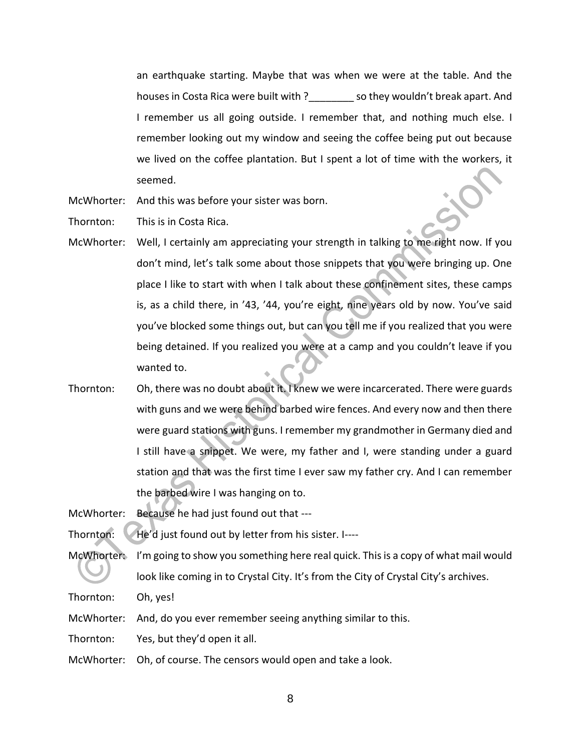an earthquake starting. Maybe that was when we were at the table. And the houses in Costa Rica were built with ? \_\_\_\_\_\_\_\_\_ so they wouldn't break apart. And I remember us all going outside. I remember that, and nothing much else. I remember looking out my window and seeing the coffee being put out because we lived on the coffee plantation. But I spent a lot of time with the workers, it seemed.

McWhorter: And this was before your sister was born.

Thornton: This is in Costa Rica.

- McWhorter: Well, I certainly am appreciating your strength in talking to me right now. If you don't mind, let's talk some about those snippets that you were bringing up. One place I like to start with when I talk about these confinement sites, these camps is, as a child there, in '43, '44, you're eight, nine years old by now. You've said you've blocked some things out, but can you tell me if you realized that you were being detained. If you realized you were at a camp and you couldn't leave if you wanted to.
- Thornton: Oh, there was no doubt about it. I knew we were incarcerated. There were guards with guns and we were behind barbed wire fences. And every now and then there were guard stations with guns. I remember my grandmother in Germany died and I still have a snippet. We were, my father and I, were standing under a guard station and that was the first time I ever saw my father cry. And I can remember the barbed wire I was hanging on to.

McWhorter: Because he had just found out that ---

Thornton: He'd just found out by letter from his sister. I----

McWhorter: I'm going to show you something here real quick. This is a copy of what mail would look like coming in to Crystal City. It's from the City of Crystal City's archives.

Thornton: Oh, yes!

McWhorter: And, do you ever remember seeing anything similar to this.

Thornton: Yes, but they'd open it all.

McWhorter: Oh, of course. The censors would open and take a look.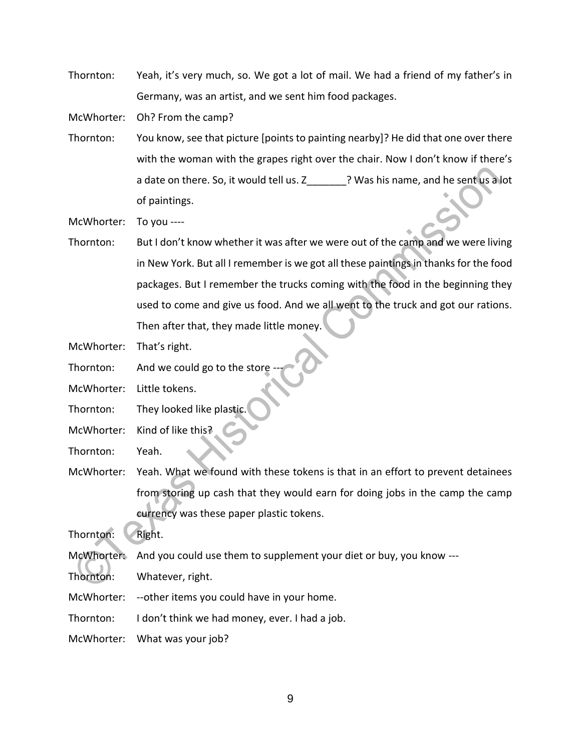Thornton: Yeah, it's very much, so. We got a lot of mail. We had a friend of my father's in Germany, was an artist, and we sent him food packages.

McWhorter: Oh? From the camp?

Thornton: You know, see that picture [points to painting nearby]? He did that one over there with the woman with the grapes right over the chair. Now I don't know if there's a date on there. So, it would tell us. Z\_\_\_\_\_\_\_? Was his name, and he sent us a lot of paintings.

McWhorter: To you ----

Thornton: But I don't know whether it was after we were out of the camp and we were living in New York. But all I remember is we got all these paintings in thanks for the food packages. But I remember the trucks coming with the food in the beginning they used to come and give us food. And we all went to the truck and got our rations. Then after that, they made little money.

McWhorter: That's right.

- Thornton: And we could go to the store
- McWhorter: Little tokens.
- Thornton: They looked like plastic.
- McWhorter: Kind of like this?
- Thornton: Yeah.
- McWhorter: Yeah. What we found with these tokens is that in an effort to prevent detainees from storing up cash that they would earn for doing jobs in the camp the camp currency was these paper plastic tokens.

Thornton: Right.

McWhorter: And you could use them to supplement your diet or buy, you know ---

Thornton: Whatever, right.

McWhorter: --other items you could have in your home.

Thornton: I don't think we had money, ever. I had a job.

McWhorter: What was your job?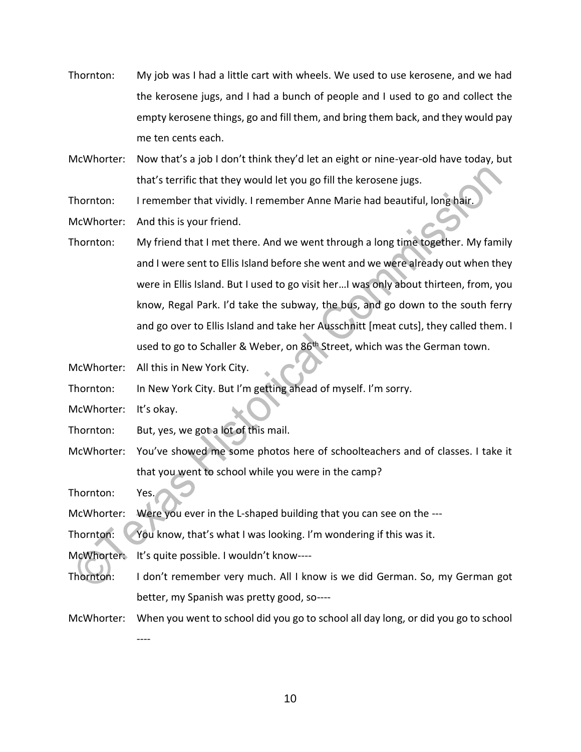- Thornton: My job was I had a little cart with wheels. We used to use kerosene, and we had the kerosene jugs, and I had a bunch of people and I used to go and collect the empty kerosene things, go and fill them, and bring them back, and they would pay me ten cents each.
- McWhorter: Now that's a job I don't think they'd let an eight or nine-year-old have today, but that's terrific that they would let you go fill the kerosene jugs.

Thornton: I remember that vividly. I remember Anne Marie had beautiful, long hair.

McWhorter: And this is your friend.

- Thornton: My friend that I met there. And we went through a long time together. My family and I were sent to Ellis Island before she went and we were already out when they were in Ellis Island. But I used to go visit her…I was only about thirteen, from, you know, Regal Park. I'd take the subway, the bus, and go down to the south ferry and go over to Ellis Island and take her Ausschnitt [meat cuts], they called them. I used to go to Schaller & Weber, on 86<sup>th</sup> Street, which was the German town.
- McWhorter: All this in New York City.

Thornton: In New York City. But I'm getting ahead of myself. I'm sorry.

McWhorter: It's okay.

Thornton: But, yes, we got a lot of this mail.

McWhorter: You've showed me some photos here of schoolteachers and of classes. I take it that you went to school while you were in the camp?

Thornton: Yes.

McWhorter: Were you ever in the L-shaped building that you can see on the ---

Thornton: You know, that's what I was looking. I'm wondering if this was it.

McWhorter: It's quite possible. I wouldn't know----

- Thornton: I don't remember very much. All I know is we did German. So, my German got better, my Spanish was pretty good, so----
- McWhorter: When you went to school did you go to school all day long, or did you go to school

----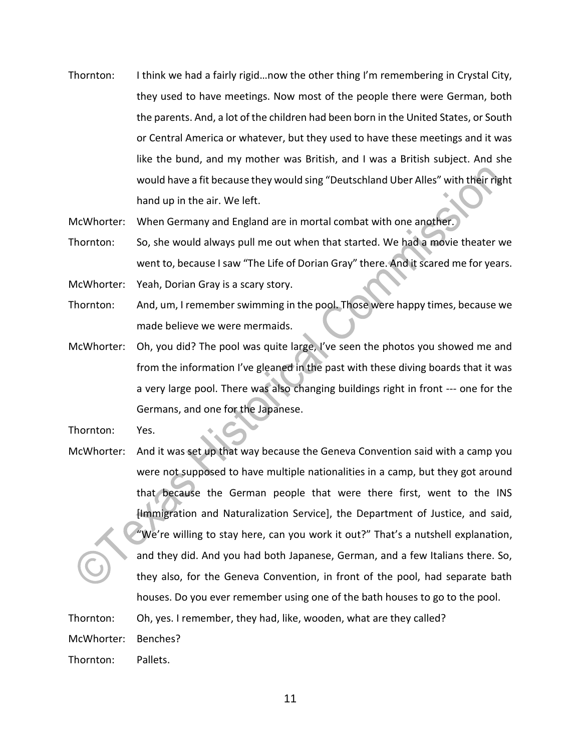- Thornton: I think we had a fairly rigid…now the other thing I'm remembering in Crystal City, they used to have meetings. Now most of the people there were German, both the parents. And, a lot of the children had been born in the United States, or South or Central America or whatever, but they used to have these meetings and it was like the bund, and my mother was British, and I was a British subject. And she would have a fit because they would sing "Deutschland Uber Alles" with their right hand up in the air. We left.
- McWhorter: When Germany and England are in mortal combat with one another.
- Thornton: So, she would always pull me out when that started. We had a movie theater we went to, because I saw "The Life of Dorian Gray" there. And it scared me for years. McWhorter: Yeah, Dorian Gray is a scary story.
- Thornton: And, um, I remember swimming in the pool. Those were happy times, because we made believe we were mermaids.
- McWhorter: Oh, you did? The pool was quite large, I've seen the photos you showed me and from the information I've gleaned in the past with these diving boards that it was a very large pool. There was also changing buildings right in front --- one for the Germans, and one for the Japanese.
- Thornton: Yes.
- McWhorter: And it was set up that way because the Geneva Convention said with a camp you were not supposed to have multiple nationalities in a camp, but they got around that because the German people that were there first, went to the INS [Immigration and Naturalization Service], the Department of Justice, and said, "We're willing to stay here, can you work it out?" That's a nutshell explanation, and they did. And you had both Japanese, German, and a few Italians there. So, they also, for the Geneva Convention, in front of the pool, had separate bath houses. Do you ever remember using one of the bath houses to go to the pool.

Thornton: Oh, yes. I remember, they had, like, wooden, what are they called?

McWhorter: Benches?

Thornton: Pallets.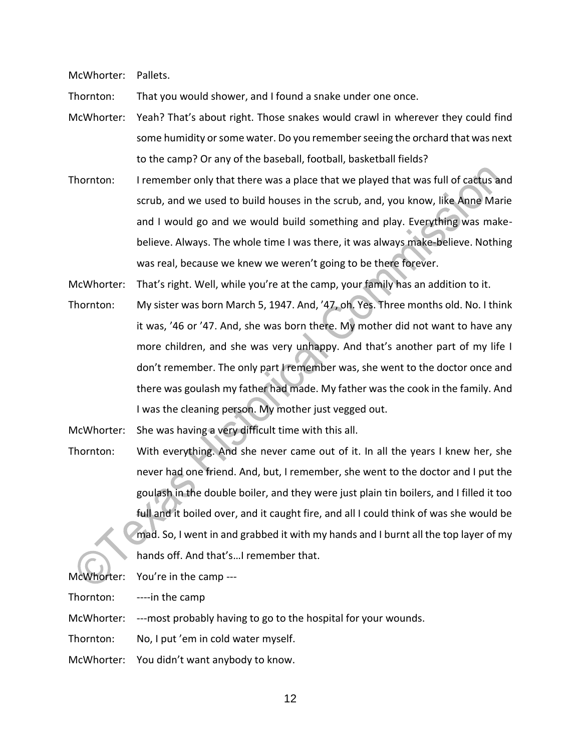McWhorter: Pallets.

Thornton: That you would shower, and I found a snake under one once.

- McWhorter: Yeah? That's about right. Those snakes would crawl in wherever they could find some humidity or some water. Do you remember seeing the orchard that was next to the camp? Or any of the baseball, football, basketball fields?
- Thornton: I remember only that there was a place that we played that was full of cactus and scrub, and we used to build houses in the scrub, and, you know, like Anne Marie and I would go and we would build something and play. Everything was makebelieve. Always. The whole time I was there, it was always make-believe. Nothing was real, because we knew we weren't going to be there forever.

McWhorter: That's right. Well, while you're at the camp, your family has an addition to it.

Thornton: My sister was born March 5, 1947. And, '47, oh. Yes. Three months old. No. I think it was, '46 or '47. And, she was born there. My mother did not want to have any more children, and she was very unhappy. And that's another part of my life I don't remember. The only part I remember was, she went to the doctor once and there was goulash my father had made. My father was the cook in the family. And I was the cleaning person. My mother just vegged out.

McWhorter: She was having a very difficult time with this all.

Thornton: With everything. And she never came out of it. In all the years I knew her, she never had one friend. And, but, I remember, she went to the doctor and I put the goulash in the double boiler, and they were just plain tin boilers, and I filled it too full and it boiled over, and it caught fire, and all I could think of was she would be mad. So, I went in and grabbed it with my hands and I burnt all the top layer of my hands off. And that's…I remember that.

McWhorter: You're in the camp ---

Thornton: ----in the camp

McWhorter: ---most probably having to go to the hospital for your wounds.

Thornton: No, I put 'em in cold water myself.

McWhorter: You didn't want anybody to know.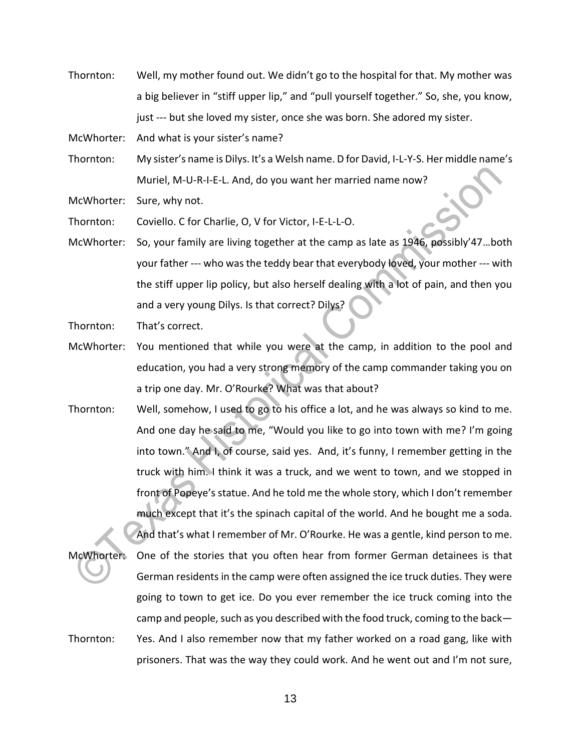Thornton: Well, my mother found out. We didn't go to the hospital for that. My mother was a big believer in "stiff upper lip," and "pull yourself together." So, she, you know, just --- but she loved my sister, once she was born. She adored my sister.

McWhorter: And what is your sister's name?

Thornton: My sister's name is Dilys. It's a Welsh name. D for David, I-L-Y-S. Her middle name's Muriel, M-U-R-I-E-L. And, do you want her married name now?

McWhorter: Sure, why not.

Thornton: Coviello. C for Charlie, O, V for Victor, I-E-L-L-O.

McWhorter: So, your family are living together at the camp as late as 1946, possibly'47…both your father --- who was the teddy bear that everybody loved, your mother --- with the stiff upper lip policy, but also herself dealing with a lot of pain, and then you and a very young Dilys. Is that correct? Dilys?

Thornton: That's correct.

- McWhorter: You mentioned that while you were at the camp, in addition to the pool and education, you had a very strong memory of the camp commander taking you on a trip one day. Mr. O'Rourke? What was that about?
- Thornton: Well, somehow, I used to go to his office a lot, and he was always so kind to me. And one day he said to me, "Would you like to go into town with me? I'm going into town." And I, of course, said yes. And, it's funny, I remember getting in the truck with him. I think it was a truck, and we went to town, and we stopped in front of Popeye's statue. And he told me the whole story, which I don't remember much except that it's the spinach capital of the world. And he bought me a soda.

And that's what I remember of Mr. O'Rourke. He was a gentle, kind person to me. McWhorter: One of the stories that you often hear from former German detainees is that German residents in the camp were often assigned the ice truck duties. They were going to town to get ice. Do you ever remember the ice truck coming into the camp and people, such as you described with the food truck, coming to the back— Thornton: Yes. And I also remember now that my father worked on a road gang, like with prisoners. That was the way they could work. And he went out and I'm not sure,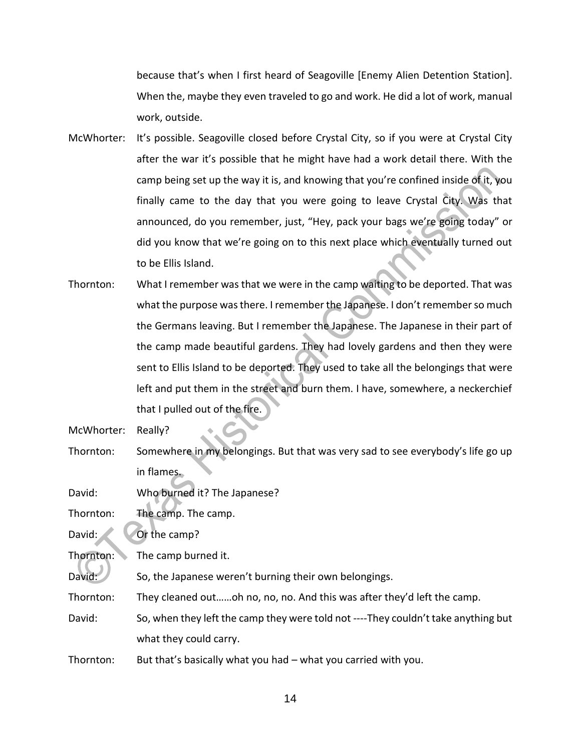because that's when I first heard of Seagoville [Enemy Alien Detention Station]. When the, maybe they even traveled to go and work. He did a lot of work, manual work, outside.

- McWhorter: It's possible. Seagoville closed before Crystal City, so if you were at Crystal City after the war it's possible that he might have had a work detail there. With the camp being set up the way it is, and knowing that you're confined inside of it, you finally came to the day that you were going to leave Crystal City. Was that announced, do you remember, just, "Hey, pack your bags we're going today" or did you know that we're going on to this next place which eventually turned out to be Ellis Island.
- Thornton: What I remember was that we were in the camp waiting to be deported. That was what the purpose was there. I remember the Japanese. I don't remember so much the Germans leaving. But I remember the Japanese. The Japanese in their part of the camp made beautiful gardens. They had lovely gardens and then they were sent to Ellis Island to be deported. They used to take all the belongings that were left and put them in the street and burn them. I have, somewhere, a neckerchief that I pulled out of the fire.

Thornton: Somewhere in my belongings. But that was very sad to see everybody's life go up in flames.

David: Who burned it? The Japanese?

Thornton: The camp. The camp.

David: Or the camp?

Thornton: The camp burned it.

David: So, the Japanese weren't burning their own belongings.

Thornton: They cleaned out……oh no, no, no. And this was after they'd left the camp.

David: So, when they left the camp they were told not ----They couldn't take anything but what they could carry.

Thornton: But that's basically what you had – what you carried with you.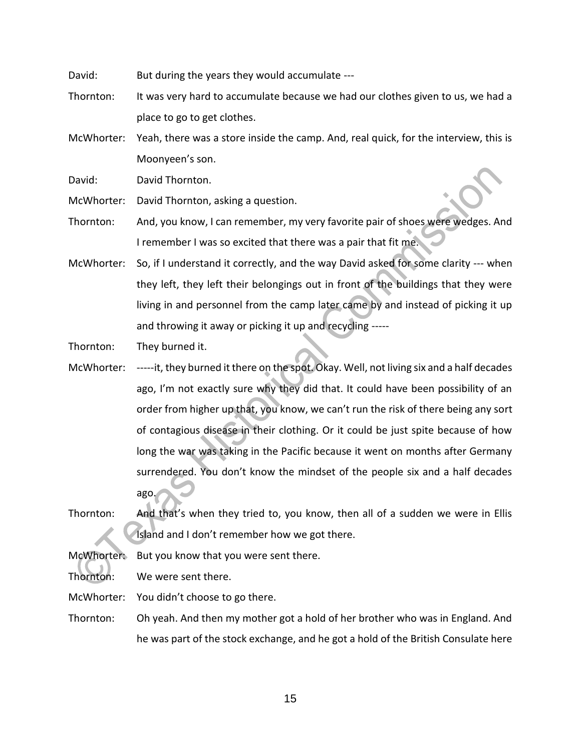David: But during the years they would accumulate ---

Thornton: It was very hard to accumulate because we had our clothes given to us, we had a place to go to get clothes.

McWhorter: Yeah, there was a store inside the camp. And, real quick, for the interview, this is Moonyeen's son.

David: David Thornton.

McWhorter: David Thornton, asking a question.

- Thornton: And, you know, I can remember, my very favorite pair of shoes were wedges. And I remember I was so excited that there was a pair that fit me.
- McWhorter: So, if I understand it correctly, and the way David asked for some clarity --- when they left, they left their belongings out in front of the buildings that they were living in and personnel from the camp later came by and instead of picking it up and throwing it away or picking it up and recycling -----

Thornton: They burned it.

- McWhorter: -----it, they burned it there on the spot. Okay. Well, not living six and a half decades ago, I'm not exactly sure why they did that. It could have been possibility of an order from higher up that, you know, we can't run the risk of there being any sort of contagious disease in their clothing. Or it could be just spite because of how long the war was taking in the Pacific because it went on months after Germany surrendered. You don't know the mindset of the people six and a half decades ago.
- Thornton: And that's when they tried to, you know, then all of a sudden we were in Ellis Island and I don't remember how we got there.

McWhorter: But you know that you were sent there.

Thornton: We were sent there.

McWhorter: You didn't choose to go there.

Thornton: Oh yeah. And then my mother got a hold of her brother who was in England. And he was part of the stock exchange, and he got a hold of the British Consulate here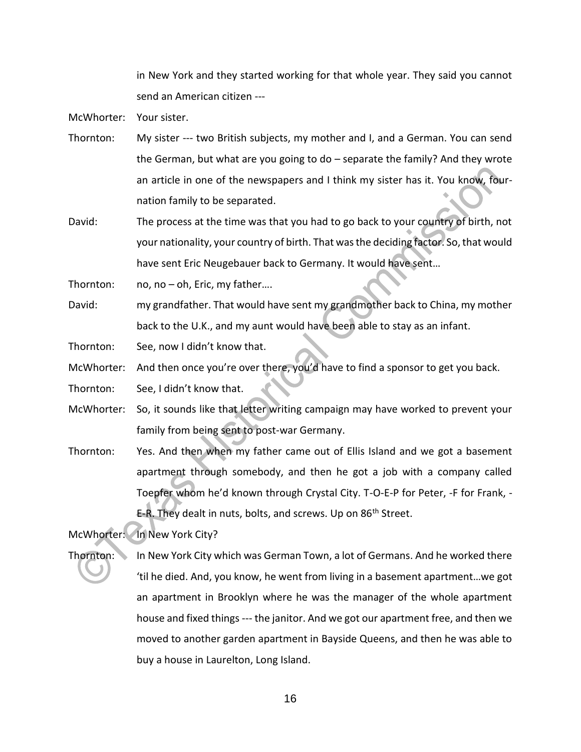in New York and they started working for that whole year. They said you cannot send an American citizen ---

McWhorter: Your sister.

- Thornton: My sister --- two British subjects, my mother and I, and a German. You can send the German, but what are you going to do – separate the family? And they wrote an article in one of the newspapers and I think my sister has it. You know, fournation family to be separated.
- David: The process at the time was that you had to go back to your country of birth, not your nationality, your country of birth. That was the deciding factor. So, that would have sent Eric Neugebauer back to Germany. It would have sent…

Thornton: no, no – oh, Eric, my father....

David: my grandfather. That would have sent my grandmother back to China, my mother back to the U.K., and my aunt would have been able to stay as an infant.

Thornton: See, now I didn't know that.

McWhorter: And then once you're over there, you'd have to find a sponsor to get you back.

Thornton: See, I didn't know that.

- McWhorter: So, it sounds like that letter writing campaign may have worked to prevent your family from being sent to post-war Germany.
- Thornton: Yes. And then when my father came out of Ellis Island and we got a basement apartment through somebody, and then he got a job with a company called Toepfer whom he'd known through Crystal City. T-O-E-P for Peter, -F for Frank, - E-R. They dealt in nuts, bolts, and screws. Up on 86<sup>th</sup> Street.

McWhorter: In New York City?

Thornton: In New York City which was German Town, a lot of Germans. And he worked there 'til he died. And, you know, he went from living in a basement apartment…we got an apartment in Brooklyn where he was the manager of the whole apartment house and fixed things --- the janitor. And we got our apartment free, and then we moved to another garden apartment in Bayside Queens, and then he was able to buy a house in Laurelton, Long Island.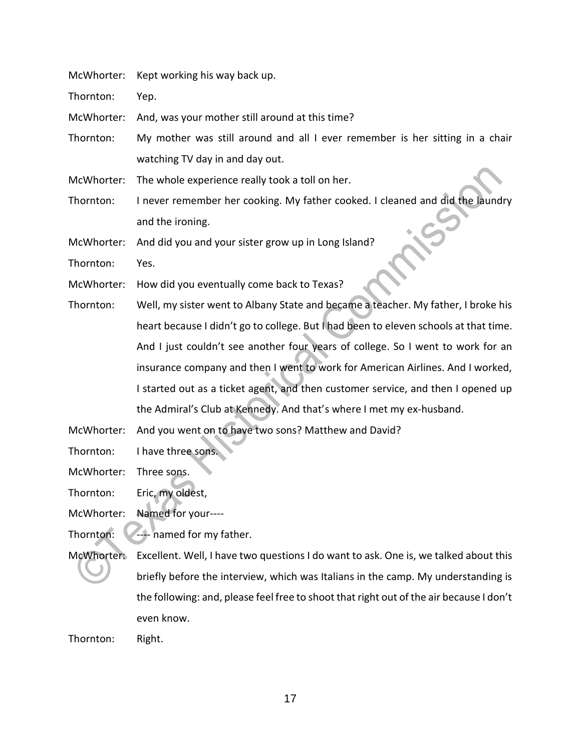McWhorter: Kept working his way back up.

Thornton: Yep.

McWhorter: And, was your mother still around at this time?

Thornton: My mother was still around and all I ever remember is her sitting in a chair watching TV day in and day out.

McWhorter: The whole experience really took a toll on her.

Thornton: I never remember her cooking. My father cooked. I cleaned and did the laundry and the ironing.

McWhorter: And did you and your sister grow up in Long Island?

Thornton: Yes.

- McWhorter: How did you eventually come back to Texas?
- Thornton: Well, my sister went to Albany State and became a teacher. My father, I broke his heart because I didn't go to college. But I had been to eleven schools at that time. And I just couldn't see another four years of college. So I went to work for an insurance company and then I went to work for American Airlines. And I worked, I started out as a ticket agent, and then customer service, and then I opened up the Admiral's Club at Kennedy. And that's where I met my ex-husband.

McWhorter: And you went on to have two sons? Matthew and David?

Thornton: I have three sons.

McWhorter: Three sons.

Thornton: Eric, my oldest,

McWhorter: Named for your----

Thornton:  $\sqrt{-1}$  named for my father.

McWhorter: Excellent. Well, I have two questions I do want to ask. One is, we talked about this briefly before the interview, which was Italians in the camp. My understanding is the following: and, please feel free to shoot that right out of the air because I don't even know.

Thornton: Right.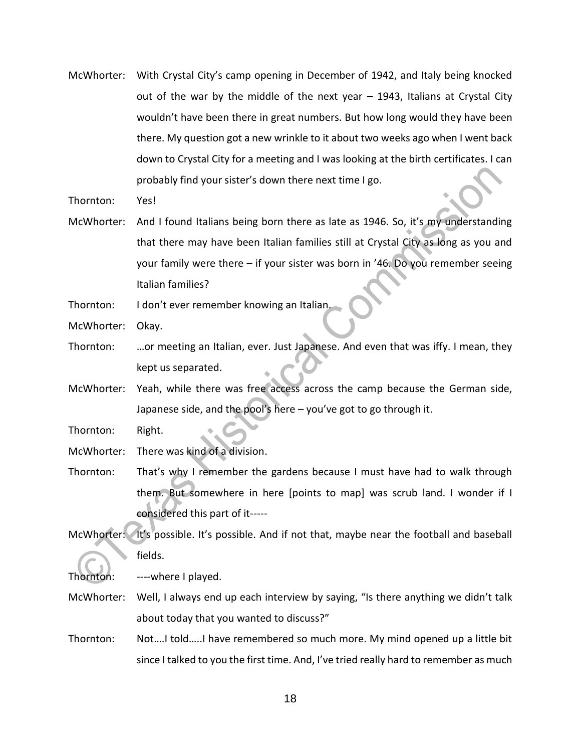McWhorter: With Crystal City's camp opening in December of 1942, and Italy being knocked out of the war by the middle of the next year – 1943, Italians at Crystal City wouldn't have been there in great numbers. But how long would they have been there. My question got a new wrinkle to it about two weeks ago when I went back down to Crystal City for a meeting and I was looking at the birth certificates. I can probably find your sister's down there next time I go.

Thornton: Yes!

McWhorter: And I found Italians being born there as late as 1946. So, it's my understanding that there may have been Italian families still at Crystal City as long as you and your family were there – if your sister was born in '46. Do you remember seeing Italian families?

Thornton: I don't ever remember knowing an Italian.

McWhorter: Okay.

- Thornton: …or meeting an Italian, ever. Just Japanese. And even that was iffy. I mean, they kept us separated.
- McWhorter: Yeah, while there was free access across the camp because the German side, Japanese side, and the pool's here – you've got to go through it.

Thornton: Right.

McWhorter: There was kind of a division.

- Thornton: That's why I remember the gardens because I must have had to walk through them. But somewhere in here [points to map] was scrub land. I wonder if I considered this part of it-----
- McWhorter: It's possible. It's possible. And if not that, maybe near the football and baseball fields.

Thornton: ----where I played.

- McWhorter: Well, I always end up each interview by saying, "Is there anything we didn't talk about today that you wanted to discuss?"
- Thornton: Not….I told…..I have remembered so much more. My mind opened up a little bit since I talked to you the first time. And, I've tried really hard to remember as much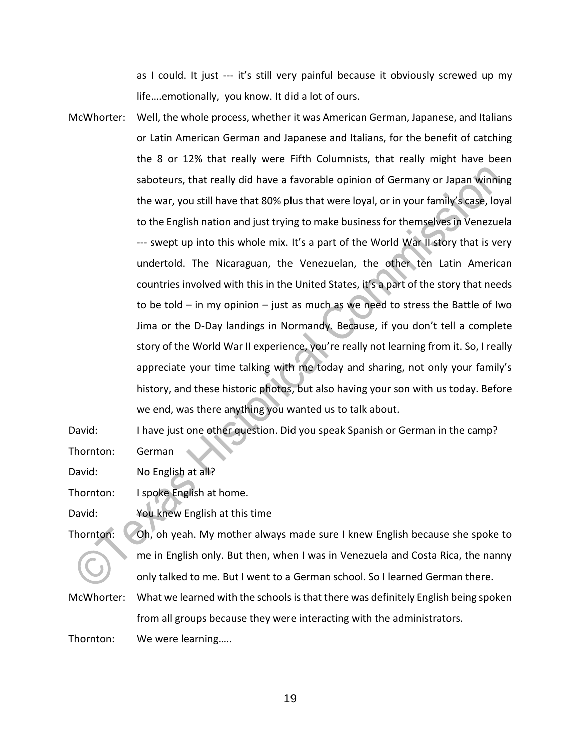as I could. It just --- it's still very painful because it obviously screwed up my life….emotionally, you know. It did a lot of ours.

McWhorter: Well, the whole process, whether it was American German, Japanese, and Italians or Latin American German and Japanese and Italians, for the benefit of catching the 8 or 12% that really were Fifth Columnists, that really might have been saboteurs, that really did have a favorable opinion of Germany or Japan winning the war, you still have that 80% plus that were loyal, or in your family's case, loyal to the English nation and just trying to make business for themselves in Venezuela --- swept up into this whole mix. It's a part of the World War II story that is very undertold. The Nicaraguan, the Venezuelan, the other ten Latin American countries involved with this in the United States, it's a part of the story that needs to be told – in my opinion – just as much as we need to stress the Battle of Iwo Jima or the D-Day landings in Normandy. Because, if you don't tell a complete story of the World War II experience, you're really not learning from it. So, I really appreciate your time talking with me today and sharing, not only your family's history, and these historic photos, but also having your son with us today. Before we end, was there anything you wanted us to talk about.

David: I have just one other question. Did you speak Spanish or German in the camp? Thornton: German

David: No English at all?

Thornton: I spoke English at home.

David: You knew English at this time

Thornton: Oh, oh yeah. My mother always made sure I knew English because she spoke to me in English only. But then, when I was in Venezuela and Costa Rica, the nanny only talked to me. But I went to a German school. So I learned German there.

McWhorter: What we learned with the schools is that there was definitely English being spoken from all groups because they were interacting with the administrators.

Thornton: We were learning…..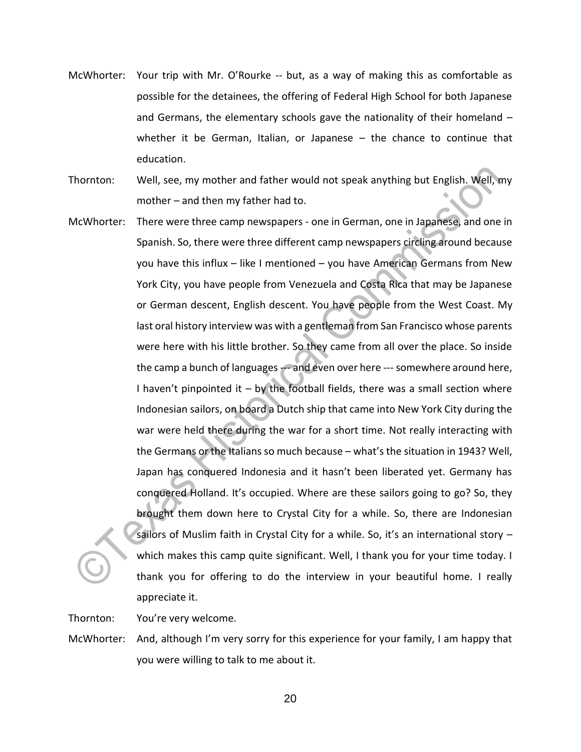- McWhorter: Your trip with Mr. O'Rourke -- but, as a way of making this as comfortable as possible for the detainees, the offering of Federal High School for both Japanese and Germans, the elementary schools gave the nationality of their homeland – whether it be German, Italian, or Japanese – the chance to continue that education.
- Thornton: Well, see, my mother and father would not speak anything but English. Well, my mother – and then my father had to.
- McWhorter: There were three camp newspapers one in German, one in Japanese, and one in Spanish. So, there were three different camp newspapers circling around because you have this influx – like I mentioned – you have American Germans from New York City, you have people from Venezuela and Costa Rica that may be Japanese or German descent, English descent. You have people from the West Coast. My last oral history interview was with a gentleman from San Francisco whose parents were here with his little brother. So they came from all over the place. So inside the camp a bunch of languages --- and even over here --- somewhere around here, I haven't pinpointed it  $-$  by the football fields, there was a small section where Indonesian sailors, on board a Dutch ship that came into New York City during the war were held there during the war for a short time. Not really interacting with the Germans or the Italians so much because – what's the situation in 1943? Well, Japan has conquered Indonesia and it hasn't been liberated yet. Germany has conquered Holland. It's occupied. Where are these sailors going to go? So, they brought them down here to Crystal City for a while. So, there are Indonesian sailors of Muslim faith in Crystal City for a while. So, it's an international story  $$ which makes this camp quite significant. Well, I thank you for your time today. I thank you for offering to do the interview in your beautiful home. I really appreciate it.

Thornton: You're very welcome.

McWhorter: And, although I'm very sorry for this experience for your family, I am happy that you were willing to talk to me about it.